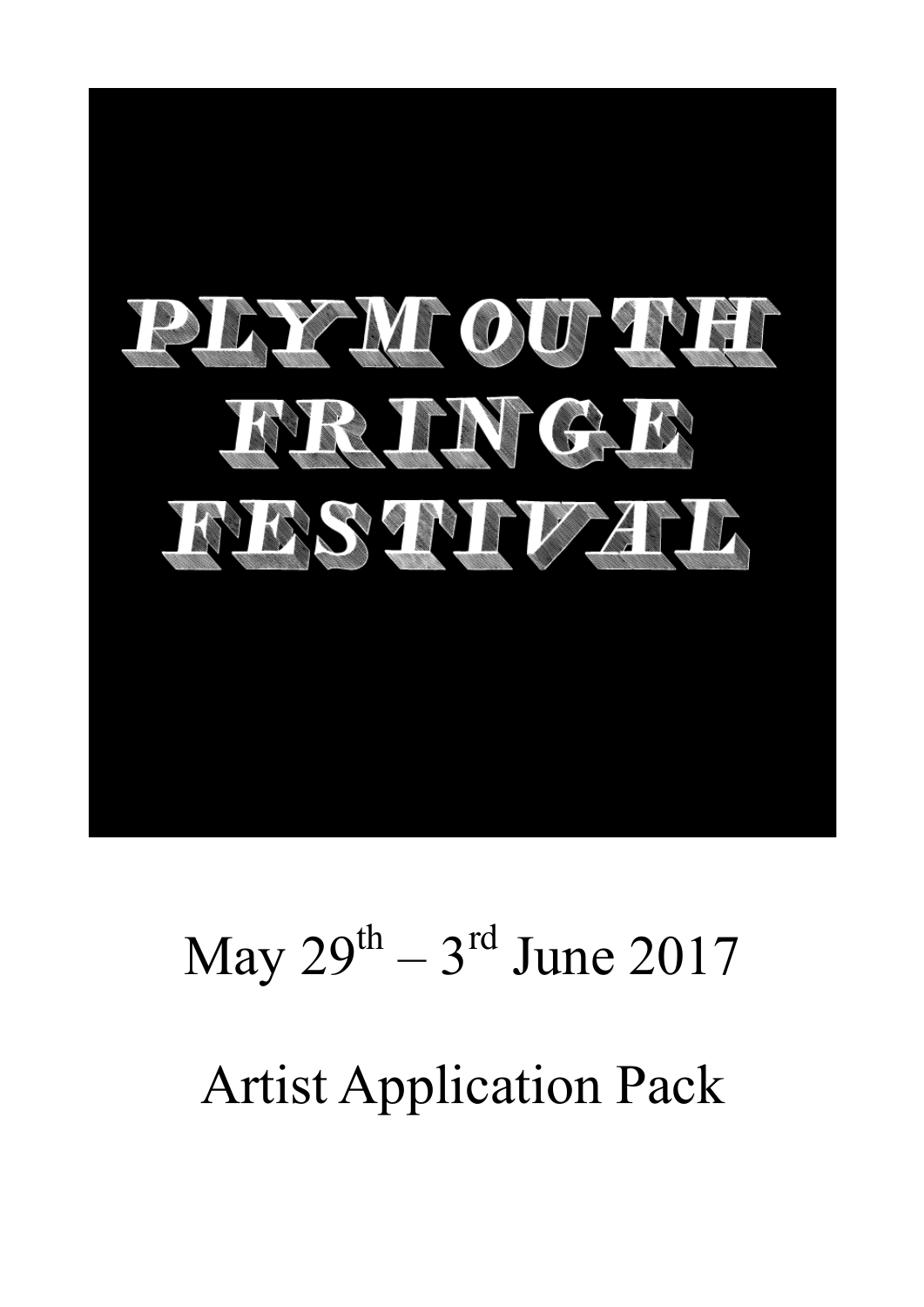

# May  $29^{th} - 3^{rd}$  June  $2017$ Artist Application Pack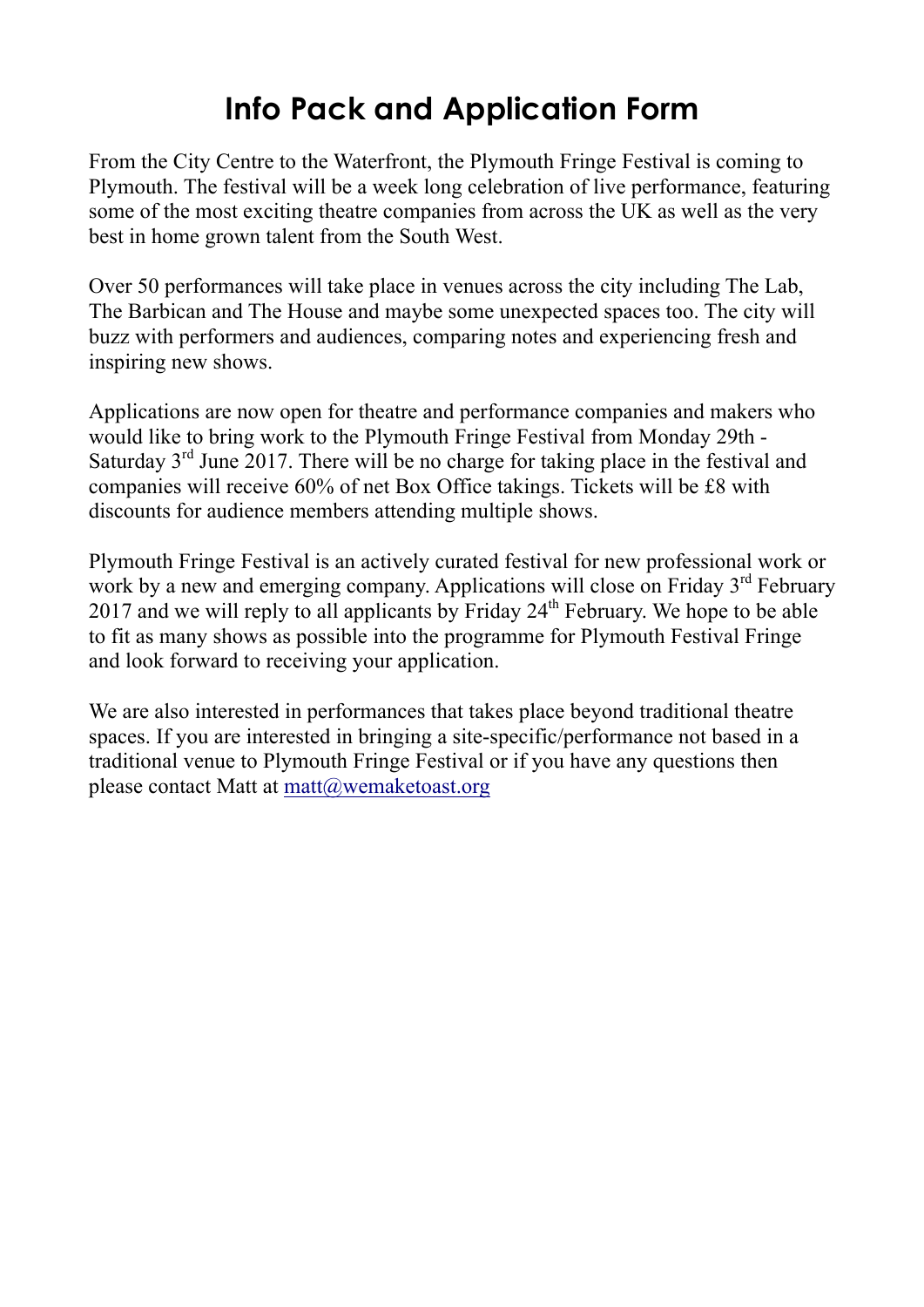## **Info Pack and Application Form**

From the City Centre to the Waterfront, the Plymouth Fringe Festival is coming to Plymouth. The festival will be a week long celebration of live performance, featuring some of the most exciting theatre companies from across the UK as well as the very best in home grown talent from the South West.

Over 50 performances will take place in venues across the city including The Lab, The Barbican and The House and maybe some unexpected spaces too. The city will buzz with performers and audiences, comparing notes and experiencing fresh and inspiring new shows.

Applications are now open for theatre and performance companies and makers who would like to bring work to the Plymouth Fringe Festival from Monday 29th - Saturday  $3<sup>rd</sup>$  June 2017. There will be no charge for taking place in the festival and companies will receive 60% of net Box Office takings. Tickets will be £8 with discounts for audience members attending multiple shows.

Plymouth Fringe Festival is an actively curated festival for new professional work or work by a new and emerging company. Applications will close on Friday 3<sup>rd</sup> February 2017 and we will reply to all applicants by Friday  $24<sup>th</sup>$  February. We hope to be able to fit as many shows as possible into the programme for Plymouth Festival Fringe and look forward to receiving your application.

We are also interested in performances that takes place beyond traditional theatre spaces. If you are interested in bringing a site-specific/performance not based in a traditional venue to Plymouth Fringe Festival or if you have any questions then please contact Matt at  $\text{matt}(a)$  wemaketoast.org